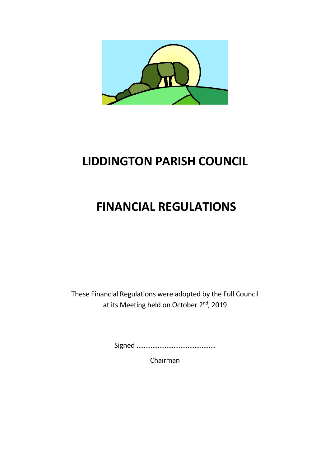

# **LIDDINGTON PARISH COUNCIL**

# **FINANCIAL REGULATIONS**

These Financial Regulations were adopted by the Full Council at its Meeting held on October 2<sup>nd</sup>, 2019

Signed ………………………………………

Chairman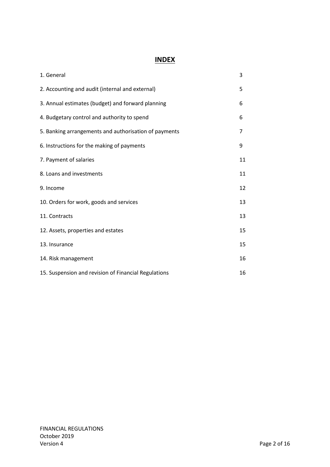## **INDEX**

| 1. General                                            | 3  |
|-------------------------------------------------------|----|
| 2. Accounting and audit (internal and external)       | 5  |
| 3. Annual estimates (budget) and forward planning     | 6  |
| 4. Budgetary control and authority to spend           | 6  |
| 5. Banking arrangements and authorisation of payments | 7  |
| 6. Instructions for the making of payments            | 9  |
| 7. Payment of salaries                                | 11 |
| 8. Loans and investments                              | 11 |
| 9. Income                                             | 12 |
| 10. Orders for work, goods and services               | 13 |
| 11. Contracts                                         | 13 |
| 12. Assets, properties and estates                    | 15 |
| 13. Insurance                                         | 15 |
| 14. Risk management                                   | 16 |
| 15. Suspension and revision of Financial Regulations  | 16 |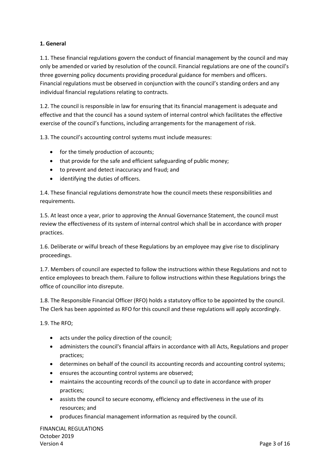#### **1. General**

1.1. These financial regulations govern the conduct of financial management by the council and may only be amended or varied by resolution of the council. Financial regulations are one of the council's three governing policy documents providing procedural guidance for members and officers. Financial regulations must be observed in conjunction with the council's standing orders and any individual financial regulations relating to contracts.

1.2. The council is responsible in law for ensuring that its financial management is adequate and effective and that the council has a sound system of internal control which facilitates the effective exercise of the council's functions, including arrangements for the management of risk.

1.3. The council's accounting control systems must include measures:

- for the timely production of accounts;
- that provide for the safe and efficient safeguarding of public money;
- to prevent and detect inaccuracy and fraud; and
- identifying the duties of officers.

1.4. These financial regulations demonstrate how the council meets these responsibilities and requirements.

1.5. At least once a year, prior to approving the Annual Governance Statement, the council must review the effectiveness of its system of internal control which shall be in accordance with proper practices.

1.6. Deliberate or wilful breach of these Regulations by an employee may give rise to disciplinary proceedings.

1.7. Members of council are expected to follow the instructions within these Regulations and not to entice employees to breach them. Failure to follow instructions within these Regulations brings the office of councillor into disrepute.

1.8. The Responsible Financial Officer (RFO) holds a statutory office to be appointed by the council. The Clerk has been appointed as RFO for this council and these regulations will apply accordingly.

1.9. The RFO;

- acts under the policy direction of the council;
- administers the council's financial affairs in accordance with all Acts, Regulations and proper practices;
- determines on behalf of the council its accounting records and accounting control systems;
- ensures the accounting control systems are observed;
- maintains the accounting records of the council up to date in accordance with proper practices;
- assists the council to secure economy, efficiency and effectiveness in the use of its resources; and
- produces financial management information as required by the council.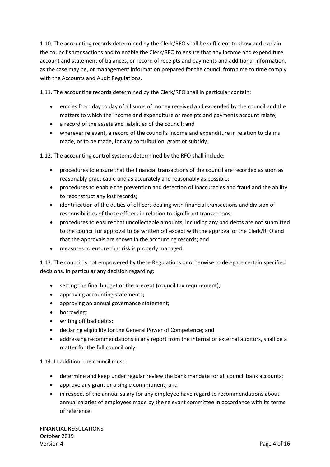1.10. The accounting records determined by the Clerk/RFO shall be sufficient to show and explain the council's transactions and to enable the Clerk/RFO to ensure that any income and expenditure account and statement of balances, or record of receipts and payments and additional information, as the case may be, or management information prepared for the council from time to time comply with the Accounts and Audit Regulations.

1.11. The accounting records determined by the Clerk/RFO shall in particular contain:

- entries from day to day of all sums of money received and expended by the council and the matters to which the income and expenditure or receipts and payments account relate;
- a record of the assets and liabilities of the council; and
- wherever relevant, a record of the council's income and expenditure in relation to claims made, or to be made, for any contribution, grant or subsidy.

1.12. The accounting control systems determined by the RFO shall include:

- procedures to ensure that the financial transactions of the council are recorded as soon as reasonably practicable and as accurately and reasonably as possible;
- procedures to enable the prevention and detection of inaccuracies and fraud and the ability to reconstruct any lost records;
- identification of the duties of officers dealing with financial transactions and division of responsibilities of those officers in relation to significant transactions;
- procedures to ensure that uncollectable amounts, including any bad debts are not submitted to the council for approval to be written off except with the approval of the Clerk/RFO and that the approvals are shown in the accounting records; and
- measures to ensure that risk is properly managed.

1.13. The council is not empowered by these Regulations or otherwise to delegate certain specified decisions. In particular any decision regarding:

- setting the final budget or the precept (council tax requirement);
- approving accounting statements;
- approving an annual governance statement;
- borrowing;
- writing off bad debts;
- declaring eligibility for the General Power of Competence; and
- addressing recommendations in any report from the internal or external auditors, shall be a matter for the full council only.

1.14. In addition, the council must:

- determine and keep under regular review the bank mandate for all council bank accounts;
- approve any grant or a single commitment; and
- in respect of the annual salary for any employee have regard to recommendations about annual salaries of employees made by the relevant committee in accordance with its terms of reference.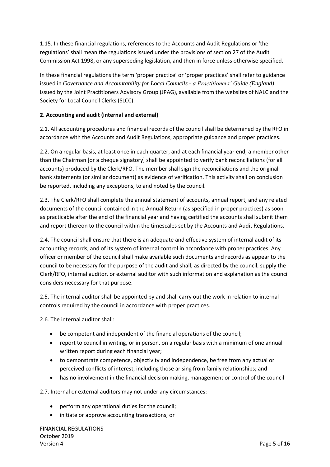1.15. In these financial regulations, references to the Accounts and Audit Regulations or 'the regulations' shall mean the regulations issued under the provisions of section 27 of the Audit Commission Act 1998, or any superseding legislation, and then in force unless otherwise specified.

In these financial regulations the term 'proper practice' or 'proper practices' shall refer to guidance issued in *Governance and Accountability for Local Councils - a Practitioners' Guide (England)* issued by the Joint Practitioners Advisory Group (JPAG), available from the websites of NALC and the Society for Local Council Clerks (SLCC).

#### **2. Accounting and audit (internal and external)**

2.1. All accounting procedures and financial records of the council shall be determined by the RFO in accordance with the Accounts and Audit Regulations, appropriate guidance and proper practices.

2.2. On a regular basis, at least once in each quarter, and at each financial year end, a member other than the Chairman [or a cheque signatory] shall be appointed to verify bank reconciliations (for all accounts) produced by the Clerk/RFO. The member shall sign the reconciliations and the original bank statements (or similar document) as evidence of verification. This activity shall on conclusion be reported, including any exceptions, to and noted by the council.

2.3. The Clerk/RFO shall complete the annual statement of accounts, annual report, and any related documents of the council contained in the Annual Return (as specified in proper practices) as soon as practicable after the end of the financial year and having certified the accounts shall submit them and report thereon to the council within the timescales set by the Accounts and Audit Regulations.

2.4. The council shall ensure that there is an adequate and effective system of internal audit of its accounting records, and of its system of internal control in accordance with proper practices. Any officer or member of the council shall make available such documents and records as appear to the council to be necessary for the purpose of the audit and shall, as directed by the council, supply the Clerk/RFO, internal auditor, or external auditor with such information and explanation as the council considers necessary for that purpose.

2.5. The internal auditor shall be appointed by and shall carry out the work in relation to internal controls required by the council in accordance with proper practices.

2.6. The internal auditor shall:

- be competent and independent of the financial operations of the council;
- report to council in writing, or in person, on a regular basis with a minimum of one annual written report during each financial year;
- to demonstrate competence, objectivity and independence, be free from any actual or perceived conflicts of interest, including those arising from family relationships; and
- has no involvement in the financial decision making, management or control of the council

2.7. Internal or external auditors may not under any circumstances:

- perform any operational duties for the council;
- initiate or approve accounting transactions; or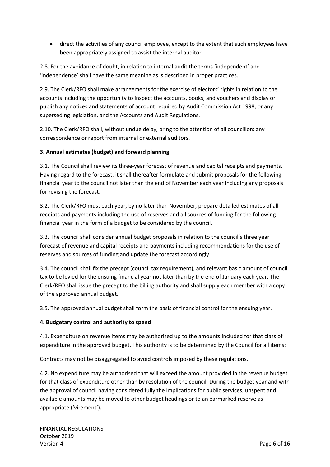• direct the activities of any council employee, except to the extent that such employees have been appropriately assigned to assist the internal auditor.

2.8. For the avoidance of doubt, in relation to internal audit the terms 'independent' and 'independence' shall have the same meaning as is described in proper practices.

2.9. The Clerk/RFO shall make arrangements for the exercise of electors' rights in relation to the accounts including the opportunity to inspect the accounts, books, and vouchers and display or publish any notices and statements of account required by Audit Commission Act 1998, or any superseding legislation, and the Accounts and Audit Regulations.

2.10. The Clerk/RFO shall, without undue delay, bring to the attention of all councillors any correspondence or report from internal or external auditors.

#### **3. Annual estimates (budget) and forward planning**

3.1. The Council shall review its three-year forecast of revenue and capital receipts and payments. Having regard to the forecast, it shall thereafter formulate and submit proposals for the following financial year to the council not later than the end of November each year including any proposals for revising the forecast.

3.2. The Clerk/RFO must each year, by no later than November, prepare detailed estimates of all receipts and payments including the use of reserves and all sources of funding for the following financial year in the form of a budget to be considered by the council.

3.3. The council shall consider annual budget proposals in relation to the council's three year forecast of revenue and capital receipts and payments including recommendations for the use of reserves and sources of funding and update the forecast accordingly.

3.4. The council shall fix the precept (council tax requirement), and relevant basic amount of council tax to be levied for the ensuing financial year not later than by the end of January each year. The Clerk/RFO shall issue the precept to the billing authority and shall supply each member with a copy of the approved annual budget.

3.5. The approved annual budget shall form the basis of financial control for the ensuing year.

#### **4. Budgetary control and authority to spend**

4.1. Expenditure on revenue items may be authorised up to the amounts included for that class of expenditure in the approved budget. This authority is to be determined by the Council for all items:

Contracts may not be disaggregated to avoid controls imposed by these regulations.

4.2. No expenditure may be authorised that will exceed the amount provided in the revenue budget for that class of expenditure other than by resolution of the council. During the budget year and with the approval of council having considered fully the implications for public services, unspent and available amounts may be moved to other budget headings or to an earmarked reserve as appropriate ('virement').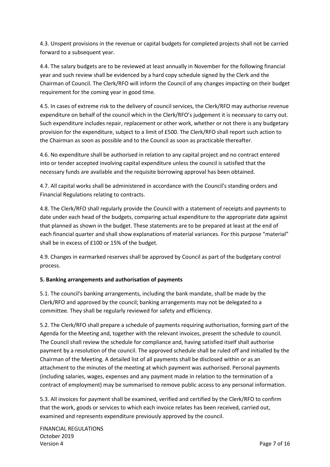4.3. Unspent provisions in the revenue or capital budgets for completed projects shall not be carried forward to a subsequent year.

4.4. The salary budgets are to be reviewed at least annually in November for the following financial year and such review shall be evidenced by a hard copy schedule signed by the Clerk and the Chairman of Council. The Clerk/RFO will inform the Council of any changes impacting on their budget requirement for the coming year in good time.

4.5. In cases of extreme risk to the delivery of council services, the Clerk/RFO may authorise revenue expenditure on behalf of the council which in the Clerk/RFO's judgement it is necessary to carry out. Such expenditure includes repair, replacement or other work, whether or not there is any budgetary provision for the expenditure, subject to a limit of £500. The Clerk/RFO shall report such action to the Chairman as soon as possible and to the Council as soon as practicable thereafter.

4.6. No expenditure shall be authorised in relation to any capital project and no contract entered into or tender accepted involving capital expenditure unless the council is satisfied that the necessary funds are available and the requisite borrowing approval has been obtained.

4.7. All capital works shall be administered in accordance with the Council's standing orders and Financial Regulations relating to contracts.

4.8. The Clerk/RFO shall regularly provide the Council with a statement of receipts and payments to date under each head of the budgets, comparing actual expenditure to the appropriate date against that planned as shown in the budget. These statements are to be prepared at least at the end of each financial quarter and shall show explanations of material variances. For this purpose "material" shall be in excess of £100 or 15% of the budget.

4.9. Changes in earmarked reserves shall be approved by Council as part of the budgetary control process.

#### **5. Banking arrangements and authorisation of payments**

5.1. The council's banking arrangements, including the bank mandate, shall be made by the Clerk/RFO and approved by the council; banking arrangements may not be delegated to a committee. They shall be regularly reviewed for safety and efficiency.

5.2. The Clerk/RFO shall prepare a schedule of payments requiring authorisation, forming part of the Agenda for the Meeting and, together with the relevant invoices, present the schedule to council. The Council shall review the schedule for compliance and, having satisfied itself shall authorise payment by a resolution of the council. The approved schedule shall be ruled off and initialled by the Chairman of the Meeting. A detailed list of all payments shall be disclosed within or as an attachment to the minutes of the meeting at which payment was authorised. Personal payments (including salaries, wages, expenses and any payment made in relation to the termination of a contract of employment) may be summarised to remove public access to any personal information.

5.3. All invoices for payment shall be examined, verified and certified by the Clerk/RFO to confirm that the work, goods or services to which each invoice relates has been received, carried out, examined and represents expenditure previously approved by the council.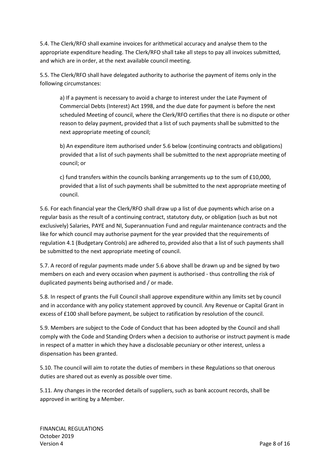5.4. The Clerk/RFO shall examine invoices for arithmetical accuracy and analyse them to the appropriate expenditure heading. The Clerk/RFO shall take all steps to pay all invoices submitted, and which are in order, at the next available council meeting.

5.5. The Clerk/RFO shall have delegated authority to authorise the payment of items only in the following circumstances:

a) If a payment is necessary to avoid a charge to interest under the Late Payment of Commercial Debts (Interest) Act 1998, and the due date for payment is before the next scheduled Meeting of council, where the Clerk/RFO certifies that there is no dispute or other reason to delay payment, provided that a list of such payments shall be submitted to the next appropriate meeting of council;

b) An expenditure item authorised under 5.6 below (continuing contracts and obligations) provided that a list of such payments shall be submitted to the next appropriate meeting of council; or

c) fund transfers within the councils banking arrangements up to the sum of £10,000, provided that a list of such payments shall be submitted to the next appropriate meeting of council.

5.6. For each financial year the Clerk/RFO shall draw up a list of due payments which arise on a regular basis as the result of a continuing contract, statutory duty, or obligation (such as but not exclusively) Salaries, PAYE and NI, Superannuation Fund and regular maintenance contracts and the like for which council may authorise payment for the year provided that the requirements of regulation 4.1 (Budgetary Controls) are adhered to, provided also that a list of such payments shall be submitted to the next appropriate meeting of council.

5.7. A record of regular payments made under 5.6 above shall be drawn up and be signed by two members on each and every occasion when payment is authorised - thus controlling the risk of duplicated payments being authorised and / or made.

5.8. In respect of grants the Full Council shall approve expenditure within any limits set by council and in accordance with any policy statement approved by council. Any Revenue or Capital Grant in excess of £100 shall before payment, be subject to ratification by resolution of the council.

5.9. Members are subject to the Code of Conduct that has been adopted by the Council and shall comply with the Code and Standing Orders when a decision to authorise or instruct payment is made in respect of a matter in which they have a disclosable pecuniary or other interest, unless a dispensation has been granted.

5.10. The council will aim to rotate the duties of members in these Regulations so that onerous duties are shared out as evenly as possible over time.

5.11. Any changes in the recorded details of suppliers, such as bank account records, shall be approved in writing by a Member.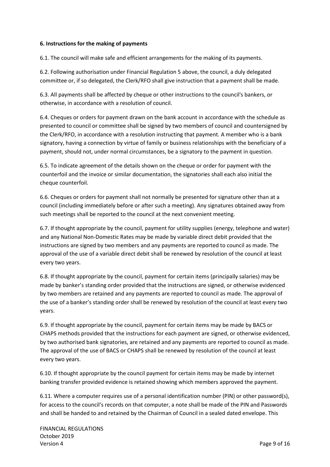#### **6. Instructions for the making of payments**

6.1. The council will make safe and efficient arrangements for the making of its payments.

6.2. Following authorisation under Financial Regulation 5 above, the council, a duly delegated committee or, if so delegated, the Clerk/RFO shall give instruction that a payment shall be made.

6.3. All payments shall be affected by cheque or other instructions to the council's bankers, or otherwise, in accordance with a resolution of council.

6.4. Cheques or orders for payment drawn on the bank account in accordance with the schedule as presented to council or committee shall be signed by two members of council and countersigned by the Clerk/RFO, in accordance with a resolution instructing that payment. A member who is a bank signatory, having a connection by virtue of family or business relationships with the beneficiary of a payment, should not, under normal circumstances, be a signatory to the payment in question.

6.5. To indicate agreement of the details shown on the cheque or order for payment with the counterfoil and the invoice or similar documentation, the signatories shall each also initial the cheque counterfoil.

6.6. Cheques or orders for payment shall not normally be presented for signature other than at a council (including immediately before or after such a meeting). Any signatures obtained away from such meetings shall be reported to the council at the next convenient meeting.

6.7. If thought appropriate by the council, payment for utility supplies (energy, telephone and water) and any National Non-Domestic Rates may be made by variable direct debit provided that the instructions are signed by two members and any payments are reported to council as made. The approval of the use of a variable direct debit shall be renewed by resolution of the council at least every two years.

6.8. If thought appropriate by the council, payment for certain items (principally salaries) may be made by banker's standing order provided that the instructions are signed, or otherwise evidenced by two members are retained and any payments are reported to council as made. The approval of the use of a banker's standing order shall be renewed by resolution of the council at least every two years.

6.9. If thought appropriate by the council, payment for certain items may be made by BACS or CHAPS methods provided that the instructions for each payment are signed, or otherwise evidenced, by two authorised bank signatories, are retained and any payments are reported to council as made. The approval of the use of BACS or CHAPS shall be renewed by resolution of the council at least every two years.

6.10. If thought appropriate by the council payment for certain items may be made by internet banking transfer provided evidence is retained showing which members approved the payment.

6.11. Where a computer requires use of a personal identification number (PIN) or other password(s), for access to the council's records on that computer, a note shall be made of the PIN and Passwords and shall be handed to and retained by the Chairman of Council in a sealed dated envelope. This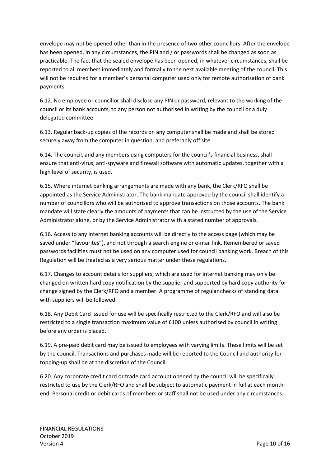envelope may not be opened other than in the presence of two other councillors. After the envelope has been opened, in any circumstances, the PIN and / or passwords shall be changed as soon as practicable. The fact that the sealed envelope has been opened, in whatever circumstances, shall be reported to all members immediately and formally to the next available meeting of the council. This will not be required for a member's personal computer used only for remote authorisation of bank payments.

6.12. No employee or councillor shall disclose any PIN or password, relevant to the working of the council or its bank accounts, to any person not authorised in writing by the council or a duly delegated committee.

6.13. Regular back-up copies of the records on any computer shall be made and shall be stored securely away from the computer in question, and preferably off site.

6.14. The council, and any members using computers for the council's financial business, shall ensure that anti-virus, anti-spyware and firewall software with automatic updates, together with a high level of security, is used.

6.15. Where internet banking arrangements are made with any bank, the Clerk/RFO shall be appointed as the Service Administrator. The bank mandate approved by the council shall identify a number of councillors who will be authorised to approve transactions on those accounts. The bank mandate will state clearly the amounts of payments that can be instructed by the use of the Service Administrator alone, or by the Service Administrator with a stated number of approvals.

6.16. Access to any internet banking accounts will be directly to the access page (which may be saved under "favourites"), and not through a search engine or e-mail link. Remembered or saved passwords facilities must not be used on any computer used for council banking work. Breach of this Regulation will be treated as a very serious matter under these regulations.

6.17. Changes to account details for suppliers, which are used for internet banking may only be changed on written hard copy notification by the supplier and supported by hard copy authority for change signed by the Clerk/RFO and a member. A programme of regular checks of standing data with suppliers will be followed.

6.18. Any Debit Card issued for use will be specifically restricted to the Clerk/RFO and will also be restricted to a single transaction maximum value of £100 unless authorised by council in writing before any order is placed.

6.19. A pre-paid debit card may be issued to employees with varying limits. These limits will be set by the council. Transactions and purchases made will be reported to the Council and authority for topping-up shall be at the discretion of the Council.

6.20. Any corporate credit card or trade card account opened by the council will be specifically restricted to use by the Clerk/RFO and shall be subject to automatic payment in full at each monthend. Personal credit or debit cards of members or staff shall not be used under any circumstances.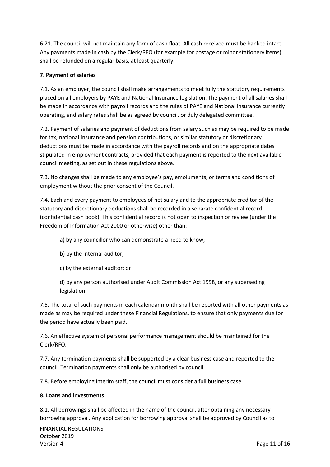6.21. The council will not maintain any form of cash float. All cash received must be banked intact. Any payments made in cash by the Clerk/RFO (for example for postage or minor stationery items) shall be refunded on a regular basis, at least quarterly.

#### **7. Payment of salaries**

7.1. As an employer, the council shall make arrangements to meet fully the statutory requirements placed on all employers by PAYE and National Insurance legislation. The payment of all salaries shall be made in accordance with payroll records and the rules of PAYE and National Insurance currently operating, and salary rates shall be as agreed by council, or duly delegated committee.

7.2. Payment of salaries and payment of deductions from salary such as may be required to be made for tax, national insurance and pension contributions, or similar statutory or discretionary deductions must be made in accordance with the payroll records and on the appropriate dates stipulated in employment contracts, provided that each payment is reported to the next available council meeting, as set out in these regulations above.

7.3. No changes shall be made to any employee's pay, emoluments, or terms and conditions of employment without the prior consent of the Council.

7.4. Each and every payment to employees of net salary and to the appropriate creditor of the statutory and discretionary deductions shall be recorded in a separate confidential record (confidential cash book). This confidential record is not open to inspection or review (under the Freedom of Information Act 2000 or otherwise) other than:

a) by any councillor who can demonstrate a need to know;

- b) by the internal auditor;
- c) by the external auditor; or

d) by any person authorised under Audit Commission Act 1998, or any superseding legislation.

7.5. The total of such payments in each calendar month shall be reported with all other payments as made as may be required under these Financial Regulations, to ensure that only payments due for the period have actually been paid.

7.6. An effective system of personal performance management should be maintained for the Clerk/RFO.

7.7. Any termination payments shall be supported by a clear business case and reported to the council. Termination payments shall only be authorised by council.

7.8. Before employing interim staff, the council must consider a full business case.

#### **8. Loans and investments**

8.1. All borrowings shall be affected in the name of the council, after obtaining any necessary borrowing approval. Any application for borrowing approval shall be approved by Council as to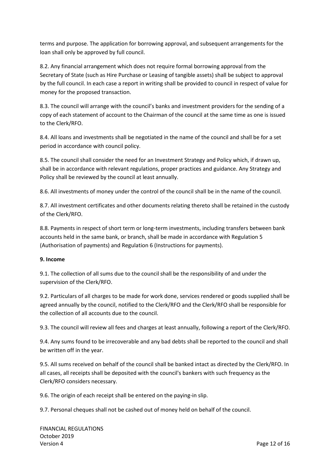terms and purpose. The application for borrowing approval, and subsequent arrangements for the loan shall only be approved by full council.

8.2. Any financial arrangement which does not require formal borrowing approval from the Secretary of State (such as Hire Purchase or Leasing of tangible assets) shall be subject to approval by the full council. In each case a report in writing shall be provided to council in respect of value for money for the proposed transaction.

8.3. The council will arrange with the council's banks and investment providers for the sending of a copy of each statement of account to the Chairman of the council at the same time as one is issued to the Clerk/RFO.

8.4. All loans and investments shall be negotiated in the name of the council and shall be for a set period in accordance with council policy.

8.5. The council shall consider the need for an Investment Strategy and Policy which, if drawn up, shall be in accordance with relevant regulations, proper practices and guidance. Any Strategy and Policy shall be reviewed by the council at least annually.

8.6. All investments of money under the control of the council shall be in the name of the council.

8.7. All investment certificates and other documents relating thereto shall be retained in the custody of the Clerk/RFO.

8.8. Payments in respect of short term or long-term investments, including transfers between bank accounts held in the same bank, or branch, shall be made in accordance with Regulation 5 (Authorisation of payments) and Regulation 6 (Instructions for payments).

#### **9. Income**

9.1. The collection of all sums due to the council shall be the responsibility of and under the supervision of the Clerk/RFO.

9.2. Particulars of all charges to be made for work done, services rendered or goods supplied shall be agreed annually by the council, notified to the Clerk/RFO and the Clerk/RFO shall be responsible for the collection of all accounts due to the council.

9.3. The council will review all fees and charges at least annually, following a report of the Clerk/RFO.

9.4. Any sums found to be irrecoverable and any bad debts shall be reported to the council and shall be written off in the year.

9.5. All sums received on behalf of the council shall be banked intact as directed by the Clerk/RFO. In all cases, all receipts shall be deposited with the council's bankers with such frequency as the Clerk/RFO considers necessary.

9.6. The origin of each receipt shall be entered on the paying-in slip.

9.7. Personal cheques shall not be cashed out of money held on behalf of the council.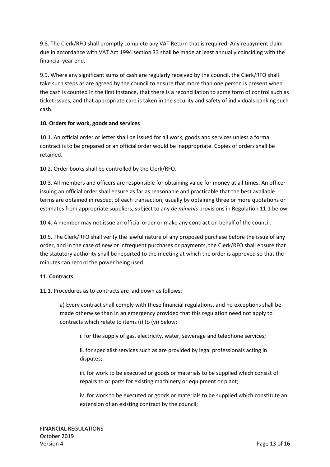9.8. The Clerk/RFO shall promptly complete any VAT Return that is required. Any repayment claim due in accordance with VAT Act 1994 section 33 shall be made at least annually coinciding with the financial year end.

9.9. Where any significant sums of cash are regularly received by the council, the Clerk/RFO shall take such steps as are agreed by the council to ensure that more than one person is present when the cash is counted in the first instance, that there is a reconciliation to some form of control such as ticket issues, and that appropriate care is taken in the security and safety of individuals banking such cash.

### **10. Orders for work, goods and services**

10.1. An official order or letter shall be issued for all work, goods and services unless a formal contract is to be prepared or an official order would be inappropriate. Copies of orders shall be retained.

10.2. Order books shall be controlled by the Clerk/RFO.

10.3. All members and officers are responsible for obtaining value for money at all times. An officer issuing an official order shall ensure as far as reasonable and practicable that the best available terms are obtained in respect of each transaction, usually by obtaining three or more quotations or estimates from appropriate suppliers, subject to any *de minimis* provisions in Regulation 11.1 below.

10.4. A member may not issue an official order or make any contract on behalf of the council.

10.5. The Clerk/RFO shall verify the lawful nature of any proposed purchase before the issue of any order, and in the case of new or infrequent purchases or payments, the Clerk/RFO shall ensure that the statutory authority shall be reported to the meeting at which the order is approved so that the minutes can record the power being used.

#### **11. Contracts**

11.1. Procedures as to contracts are laid down as follows:

a) Every contract shall comply with these financial regulations, and no exceptions shall be made otherwise than in an emergency provided that this regulation need not apply to contracts which relate to items (i) to (vi) below:

i. for the supply of gas, electricity, water, sewerage and telephone services;

ii. for specialist services such as are provided by legal professionals acting in disputes;

iii. for work to be executed or goods or materials to be supplied which consist of repairs to or parts for existing machinery or equipment or plant;

iv. for work to be executed or goods or materials to be supplied which constitute an extension of an existing contract by the council;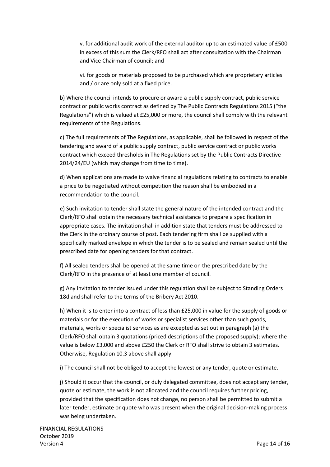v. for additional audit work of the external auditor up to an estimated value of £500 in excess of this sum the Clerk/RFO shall act after consultation with the Chairman and Vice Chairman of council; and

vi. for goods or materials proposed to be purchased which are proprietary articles and / or are only sold at a fixed price.

b) Where the council intends to procure or award a public supply contract, public service contract or public works contract as defined by The Public Contracts Regulations 2015 ("the Regulations") which is valued at £25,000 or more, the council shall comply with the relevant requirements of the Regulations.

c) The full requirements of The Regulations, as applicable, shall be followed in respect of the tendering and award of a public supply contract, public service contract or public works contract which exceed thresholds in The Regulations set by the Public Contracts Directive 2014/24/EU (which may change from time to time).

d) When applications are made to waive financial regulations relating to contracts to enable a price to be negotiated without competition the reason shall be embodied in a recommendation to the council.

e) Such invitation to tender shall state the general nature of the intended contract and the Clerk/RFO shall obtain the necessary technical assistance to prepare a specification in appropriate cases. The invitation shall in addition state that tenders must be addressed to the Clerk in the ordinary course of post. Each tendering firm shall be supplied with a specifically marked envelope in which the tender is to be sealed and remain sealed until the prescribed date for opening tenders for that contract.

f) All sealed tenders shall be opened at the same time on the prescribed date by the Clerk/RFO in the presence of at least one member of council.

g) Any invitation to tender issued under this regulation shall be subject to Standing Orders 18d and shall refer to the terms of the Bribery Act 2010.

h) When it is to enter into a contract of less than £25,000 in value for the supply of goods or materials or for the execution of works or specialist services other than such goods, materials, works or specialist services as are excepted as set out in paragraph (a) the Clerk/RFO shall obtain 3 quotations (priced descriptions of the proposed supply); where the value is below £3,000 and above £250 the Clerk or RFO shall strive to obtain 3 estimates. Otherwise, Regulation 10.3 above shall apply.

i) The council shall not be obliged to accept the lowest or any tender, quote or estimate.

j) Should it occur that the council, or duly delegated committee, does not accept any tender, quote or estimate, the work is not allocated and the council requires further pricing, provided that the specification does not change, no person shall be permitted to submit a later tender, estimate or quote who was present when the original decision-making process was being undertaken.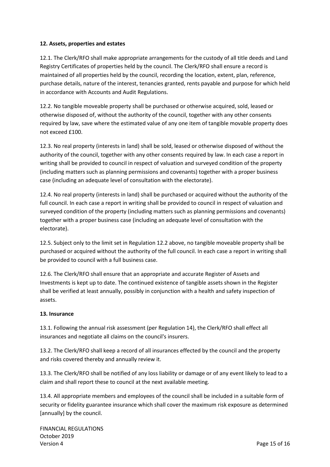#### **12. Assets, properties and estates**

12.1. The Clerk/RFO shall make appropriate arrangements for the custody of all title deeds and Land Registry Certificates of properties held by the council. The Clerk/RFO shall ensure a record is maintained of all properties held by the council, recording the location, extent, plan, reference, purchase details, nature of the interest, tenancies granted, rents payable and purpose for which held in accordance with Accounts and Audit Regulations.

12.2. No tangible moveable property shall be purchased or otherwise acquired, sold, leased or otherwise disposed of, without the authority of the council, together with any other consents required by law, save where the estimated value of any one item of tangible movable property does not exceed £100.

12.3. No real property (interests in land) shall be sold, leased or otherwise disposed of without the authority of the council, together with any other consents required by law. In each case a report in writing shall be provided to council in respect of valuation and surveyed condition of the property (including matters such as planning permissions and covenants) together with a proper business case (including an adequate level of consultation with the electorate).

12.4. No real property (interests in land) shall be purchased or acquired without the authority of the full council. In each case a report in writing shall be provided to council in respect of valuation and surveyed condition of the property (including matters such as planning permissions and covenants) together with a proper business case (including an adequate level of consultation with the electorate).

12.5. Subject only to the limit set in Regulation 12.2 above, no tangible moveable property shall be purchased or acquired without the authority of the full council. In each case a report in writing shall be provided to council with a full business case.

12.6. The Clerk/RFO shall ensure that an appropriate and accurate Register of Assets and Investments is kept up to date. The continued existence of tangible assets shown in the Register shall be verified at least annually, possibly in conjunction with a health and safety inspection of assets.

#### **13. Insurance**

13.1. Following the annual risk assessment (per Regulation 14), the Clerk/RFO shall effect all insurances and negotiate all claims on the council's insurers.

13.2. The Clerk/RFO shall keep a record of all insurances effected by the council and the property and risks covered thereby and annually review it.

13.3. The Clerk/RFO shall be notified of any loss liability or damage or of any event likely to lead to a claim and shall report these to council at the next available meeting.

13.4. All appropriate members and employees of the council shall be included in a suitable form of security or fidelity guarantee insurance which shall cover the maximum risk exposure as determined [annually] by the council.